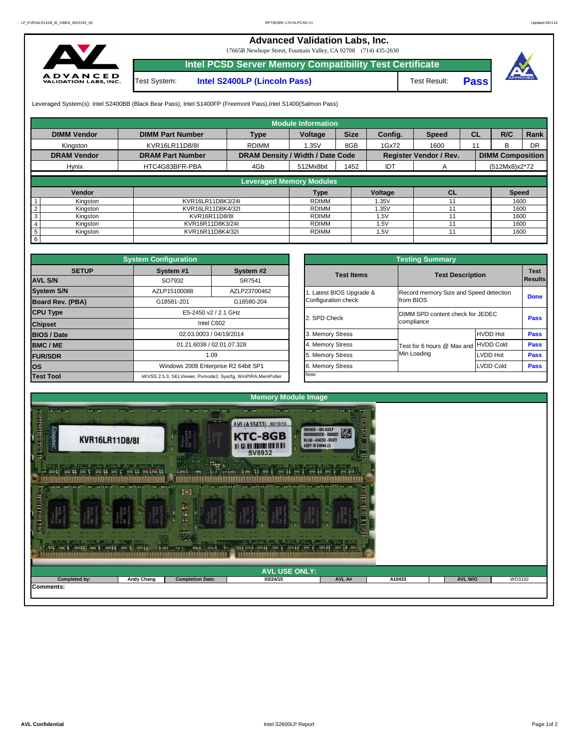

**Intel PCSD Server Memory Compatibility Test Certificate**

## **Advanced Validation Labs, Inc.**

17665B Newhope Street, Fountain Valley, CA 92708 (714) 435-2630



|                             |                         |                                         | <b>Module Information</b>       |             |            |                               |           |                         |           |
|-----------------------------|-------------------------|-----------------------------------------|---------------------------------|-------------|------------|-------------------------------|-----------|-------------------------|-----------|
| <b>DIMM Vendor</b>          | <b>DIMM Part Number</b> | <b>Type</b>                             | <b>Voltage</b>                  | <b>Size</b> | Config.    | <b>Speed</b>                  | <b>CL</b> | R/C                     | Rank      |
| Kingston                    | KVR16LR11D8/8I          | <b>RDIMM</b>                            | 1.35V                           | 8GB         | 1Gx72      | 1600                          | 11        | B                       | <b>DR</b> |
| <b>DRAM Vendor</b>          | <b>DRAM Part Number</b> | <b>DRAM Density / Width / Date Code</b> |                                 |             |            | <b>Register Vendor / Rev.</b> |           | <b>DIMM Composition</b> |           |
| <b>Hynix</b>                | HTC4G83BFR-PBA          | 4Gb                                     | 512Mx8bit                       | 1452        | <b>IDT</b> | A                             |           | (512Mx8)x2*72           |           |
|                             |                         |                                         | <b>Leveraged Memory Modules</b> |             |            |                               |           |                         |           |
|                             |                         |                                         |                                 |             |            |                               |           |                         |           |
| Vendor                      |                         |                                         | <b>Type</b>                     |             | Voltage    | <b>CL</b>                     |           | <b>Speed</b>            |           |
| Kingston                    | KVR16LR11D8K3/24I       |                                         | <b>RDIMM</b>                    |             | 1.35V      | 11                            |           | 1600                    |           |
| Kingston                    | KVR16LR11D8K4/32I       |                                         | <b>RDIMM</b>                    |             | 1.35V      | 11                            |           | 1600                    |           |
| 3<br>Kingston               | KVR16R11D8/8I           |                                         | RDIMM                           |             | 1.5V       |                               |           | 1600                    |           |
| Kingston<br>4               | KVR16R11D8K3/24I        |                                         | <b>RDIMM</b>                    |             | 1.5V       |                               |           | 1600                    |           |
| $5\phantom{.0}$<br>Kingston | KVR16R11D8K4/32I        |                                         | <b>RDIMM</b>                    |             | 1.5V       | 11                            |           | 1600                    |           |
| 6                           |                         |                                         |                                 |             |            |                               |           |                         |           |

Test System: **Intel S2400LP (Lincoln Pass)** Test Result: **Pass**



Leveraged System(s): Intel S2400BB (Black Bear Pass), Intel S1400FP (Freemont Pass), Intel S1400(Salmon Pass)

|              | <b>System Configuration</b> |                                                             |                       | <b>Testing Summary</b>                 |                  |                |
|--------------|-----------------------------|-------------------------------------------------------------|-----------------------|----------------------------------------|------------------|----------------|
| <b>SETUP</b> | System #1                   | System #2                                                   | <b>Test Items</b>     | <b>Test Description</b>                |                  | <b>Test</b>    |
|              | SO7932                      | SR7541                                                      |                       |                                        |                  | <b>Results</b> |
|              | AZLP15100088                | AZLP23700462                                                | Latest BIOS Upgrade & | Record memory Size and Speed detection |                  |                |
| PBA)         | G18581-201                  | G18580-204                                                  | Configuration check   | from BIOS                              |                  | <b>Done</b>    |
|              |                             | E5-2450 v2 / 2.1 GHz                                        |                       | DIMM SPD content check for JEDEC       |                  |                |
|              |                             | Intel C602                                                  | 2. SPD Check          | compliance                             |                  | <b>Pass</b>    |
|              |                             | 02.03.0003 / 04/19/2014                                     | 3. Memory Stress      |                                        | <b>HVDD Hot</b>  | <b>Pass</b>    |
|              |                             | 01.21.6038 / 02.01.07.328                                   | 4. Memory Stress      | Test for 6 hours @ Max and HVDD Cold   |                  | <b>Pass</b>    |
|              |                             | 1.09                                                        | 5. Memory Stress      | Min Loading                            | LVDD Hot         | <b>Pass</b>    |
|              |                             | Windows 2008 Enterprise R2 64bit SP1                        | 6. Memory Stress      |                                        | <b>LVDD Cold</b> | <b>Pass</b>    |
|              |                             | iWVSS 2.5.3, SELViewer, Pvmode2, Syscfg, WinPIRA, MemPuller | Note:                 |                                        |                  |                |

|                         | <b>System Configuration</b>                              |                                                             | <b>Testing Summary</b> |                                      |                                        |             |  |  |  |  |
|-------------------------|----------------------------------------------------------|-------------------------------------------------------------|------------------------|--------------------------------------|----------------------------------------|-------------|--|--|--|--|
| <b>SETUP</b>            | System #1<br>System #2<br>SO7932<br>SR7541               |                                                             | <b>Test Items</b>      | <b>Test Description</b>              |                                        | <b>Test</b> |  |  |  |  |
| <b>AVL S/N</b>          |                                                          |                                                             |                        |                                      |                                        |             |  |  |  |  |
| <b>System S/N</b>       | AZLP15100088<br>AZLP23700462<br>G18581-201<br>G18580-204 |                                                             | Latest BIOS Upgrade &  |                                      | Record memory Size and Speed detection |             |  |  |  |  |
| <b>Board Rev. (PBA)</b> |                                                          |                                                             | Configuration check    | from BIOS                            |                                        |             |  |  |  |  |
| <b>CPU Type</b>         |                                                          | E5-2450 v2 / 2.1 GHz                                        | 2. SPD Check           | DIMM SPD content check for JEDEC     |                                        |             |  |  |  |  |
| <b>Chipset</b>          | Intel C602                                               |                                                             |                        | compliance                           |                                        | <b>Pass</b> |  |  |  |  |
| <b>BIOS / Date</b>      |                                                          | 02.03.0003 / 04/19/2014                                     | 3. Memory Stress       |                                      | <b>HVDD Hot</b>                        | <b>Pass</b> |  |  |  |  |
| <b>BMC/ME</b>           |                                                          | 01.21.6038 / 02.01.07.328                                   | 4. Memory Stress       | Test for 6 hours @ Max and HVDD Cold |                                        | <b>Pass</b> |  |  |  |  |
| <b>FUR/SDR</b>          | 1.09                                                     |                                                             | 5. Memory Stress       | Min Loading                          | <b>LVDD Hot</b>                        | <b>Pass</b> |  |  |  |  |
| <b>OS</b>               | Windows 2008 Enterprise R2 64bit SP1                     |                                                             | 6. Memory Stress       | LVDD Cold                            | <b>Pass</b>                            |             |  |  |  |  |
| <b>Test Tool</b>        |                                                          | iWVSS 2.5.3, SELViewer, Pvmode2, Syscfg, WinPIRA, MemPuller | Note:                  |                                      |                                        |             |  |  |  |  |

| <b>AVL USE ONLY:</b><br><b>Completed by:</b><br>AVL A#<br><b>AVL W/O</b><br><b>Andy Chang</b><br><b>Completion Date:</b><br>03/24/15<br>A10433<br>Comments: | $\begin{array}{ccccccccccccc} \multicolumn{4}{c }{\multicolumn{4}{c }{\multicolumn{4}{c }{\multicolumn{4}{c }{\multicolumn{4}{c }{\multicolumn{4}{c }{\multicolumn{4}{c }{\multicolumn{4}{c }{\multicolumn{4}{c }{\multicolumn{4}{c }{\multicolumn{4}{c }{\multicolumn{4}{c }{\multicolumn{4}{c }{\multicolumn{4}{c }{\multicolumn{4}{c }{\multicolumn{4}{c }{\multicolumn{4}{c }{\multicolumn{4}{c }{\multicolumn{4}{c }{\multicolumn{4}{c }{\multicolumn{4}{c }{$<br><b>CANCE ANDEL ANY E ANDEL ANY E ANDEL</b> | $-000$<br>$-$<br><b>THE WAY TO</b> | $-0.0$<br>.<br>5.5<br><b>Line St</b> | $-0.01$ . $-0.1$<br>$-0.00$<br>$\mathcal{L}(\mathbf{z}) = \mathcal{L}(\mathbf{z})$<br>$-0.77$<br>$-200$<br>$-0.00$<br>ALL AND AND ARREST AND A CONTRACTOR OF THE RESIDENCE OF THE RESIDENCE OF THE RESIDENCE OF THE RESIDENCE OF THE | $-0.0$<br>$-0.00$ |  |        |
|-------------------------------------------------------------------------------------------------------------------------------------------------------------|-------------------------------------------------------------------------------------------------------------------------------------------------------------------------------------------------------------------------------------------------------------------------------------------------------------------------------------------------------------------------------------------------------------------------------------------------------------------------------------------------------------------|------------------------------------|--------------------------------------|--------------------------------------------------------------------------------------------------------------------------------------------------------------------------------------------------------------------------------------|-------------------|--|--------|
|                                                                                                                                                             |                                                                                                                                                                                                                                                                                                                                                                                                                                                                                                                   |                                    |                                      |                                                                                                                                                                                                                                      |                   |  |        |
|                                                                                                                                                             |                                                                                                                                                                                                                                                                                                                                                                                                                                                                                                                   |                                    |                                      |                                                                                                                                                                                                                                      |                   |  | WD3192 |
|                                                                                                                                                             |                                                                                                                                                                                                                                                                                                                                                                                                                                                                                                                   |                                    |                                      |                                                                                                                                                                                                                                      |                   |  |        |